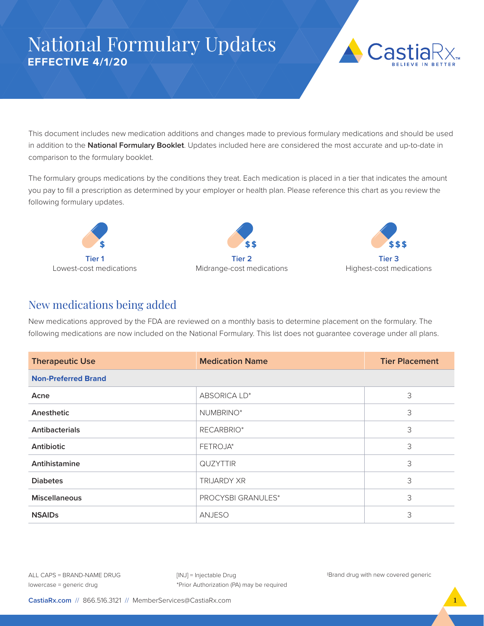## National Formulary Updates **EFFECTIVE 4/1/20**



This document includes new medication additions and changes made to previous formulary medications and should be used in addition to the **National Formulary Booklet**. Updates included here are considered the most accurate and up-to-date in comparison to the formulary booklet.

The formulary groups medications by the conditions they treat. Each medication is placed in a tier that indicates the amount you pay to fill a prescription as determined by your employer or health plan. Please reference this chart as you review the following formulary updates.







## New medications being added

New medications approved by the FDA are reviewed on a monthly basis to determine placement on the formulary. The following medications are now included on the National Formulary. This list does not guarantee coverage under all plans.

| <b>Therapeutic Use</b>     | <b>Medication Name</b> | <b>Tier Placement</b> |  |  |
|----------------------------|------------------------|-----------------------|--|--|
| <b>Non-Preferred Brand</b> |                        |                       |  |  |
| Acne                       | ABSORICA LD*           | 3                     |  |  |
| Anesthetic                 | NUMBRINO*              | 3                     |  |  |
| <b>Antibacterials</b>      | RECARBRIO*             | 3                     |  |  |
| Antibiotic                 | FETROJA*               |                       |  |  |
| Antihistamine              | <b>QUZYTTIR</b>        | 3                     |  |  |
| <b>Diabetes</b>            | <b>TRIJARDY XR</b>     | 3                     |  |  |
| <b>Miscellaneous</b>       | PROCYSBI GRANULES*     | 3                     |  |  |
| <b>NSAIDs</b>              | <b>ANJESO</b>          | 3                     |  |  |

ALL CAPS = BRAND-NAME DRUG lowercase = generic drug

[INJ] = Injectable Drug \*Prior Authorization (PA) may be required ‡Brand drug with new covered generic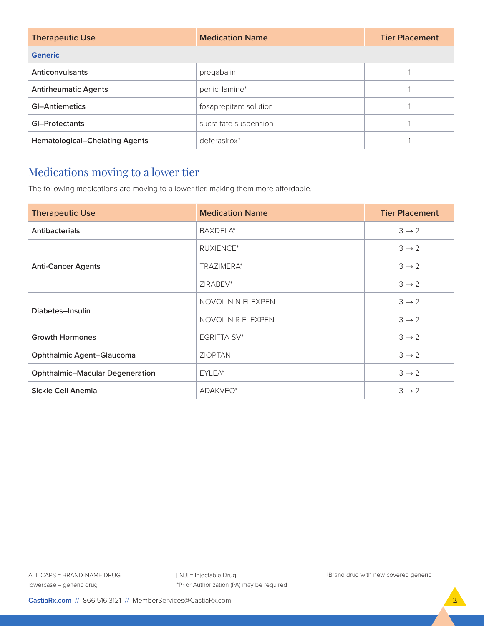| <b>Therapeutic Use</b>                | <b>Medication Name</b> | <b>Tier Placement</b> |  |  |
|---------------------------------------|------------------------|-----------------------|--|--|
| <b>Generic</b>                        |                        |                       |  |  |
| Anticonvulsants                       | pregabalin             |                       |  |  |
| <b>Antirheumatic Agents</b>           | penicillamine*         |                       |  |  |
| <b>GI-Antiemetics</b>                 | fosaprepitant solution |                       |  |  |
| <b>GI-Protectants</b>                 | sucralfate suspension  |                       |  |  |
| <b>Hematological-Chelating Agents</b> | deferasirox*           |                       |  |  |

## Medications moving to a lower tier

The following medications are moving to a lower tier, making them more affordable.

| <b>Therapeutic Use</b>                 | <b>Medication Name</b> | <b>Tier Placement</b> |
|----------------------------------------|------------------------|-----------------------|
| <b>Antibacterials</b>                  | BAXDELA*               | $3 \rightarrow 2$     |
| <b>Anti-Cancer Agents</b>              | <b>RUXIENCE*</b>       | $3 \rightarrow 2$     |
|                                        | TRAZIMERA*             | $3 \rightarrow 2$     |
|                                        | ZIRABEV*               | $3 \rightarrow 2$     |
| Diabetes-Insulin                       | NOVOLIN N FLEXPEN      | $3 \rightarrow 2$     |
|                                        | NOVOLIN R FLEXPEN      | $3 \rightarrow 2$     |
| <b>Growth Hormones</b>                 | EGRIFTA SV*            | $3 \rightarrow 2$     |
| <b>Ophthalmic Agent-Glaucoma</b>       | <b>ZIOPTAN</b>         | $3 \rightarrow 2$     |
| <b>Ophthalmic-Macular Degeneration</b> | EYLEA*                 | $3 \rightarrow 2$     |
| Sickle Cell Anemia                     | ADAKVEO*               |                       |